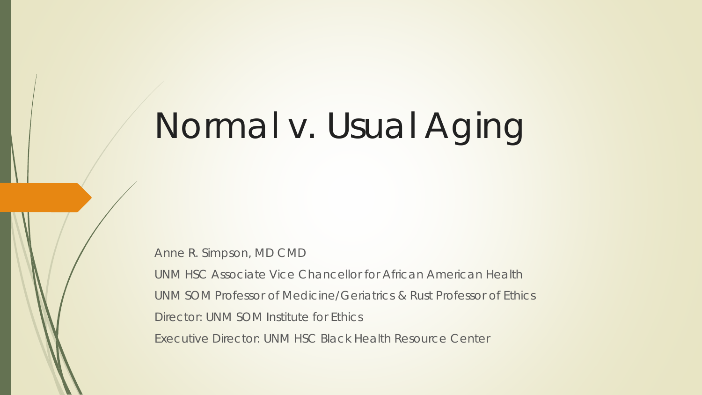# Normal v. Usual Aging

Anne R. Simpson, MD CMD

UNM HSC Associate Vice Chancellor for African American Health UNM SOM Professor of Medicine/Geriatrics & Rust Professor of Ethics Director: UNM SOM Institute for Ethics Executive Director: UNM HSC Black Health Resource Center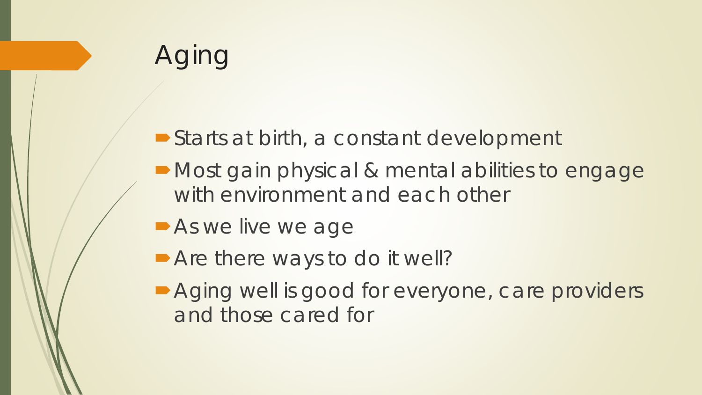# Aging

- Starts at birth, a constant development
- Most gain physical & mental abilities to engage with environment and each other
- **As we live we age**
- Are there ways to do it well?
- **Aging well is good for everyone, care providers** and those cared for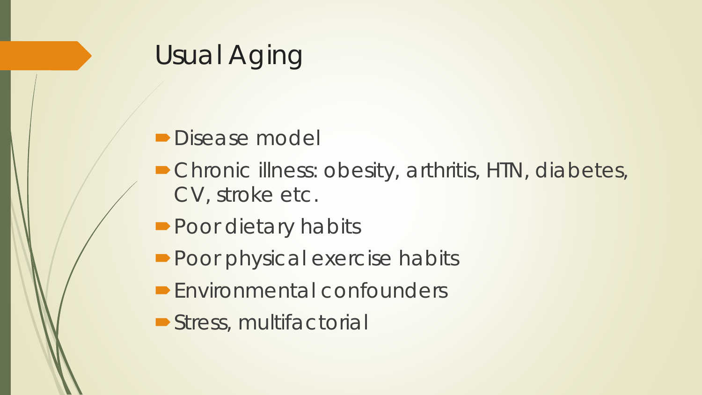## Usual Aging

#### **Disease model**

- Chronic illness: obesity, arthritis, HTN, diabetes, CV, stroke etc.
- **Poor dietary habits**
- Poor physical exercise habits
- **Environmental confounders**
- Stress, multifactorial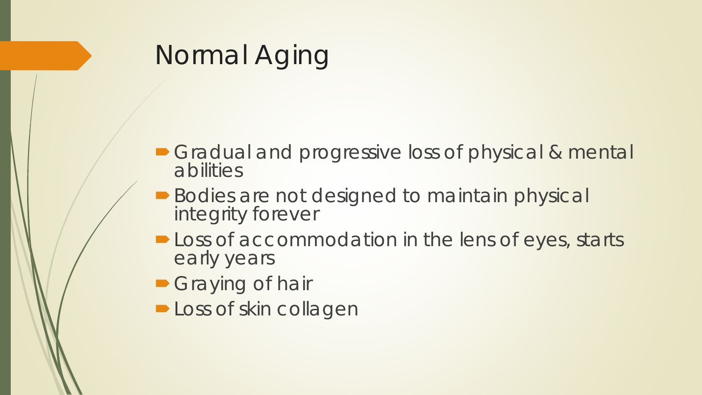- Gradual and progressive loss of physical & mental abilities
- **Bodies are not designed to maintain physical** integrity forever
- **-Loss of accommodation in the lens of eyes, starts** early years
- **Graying of hair**
- **Loss of skin collagen**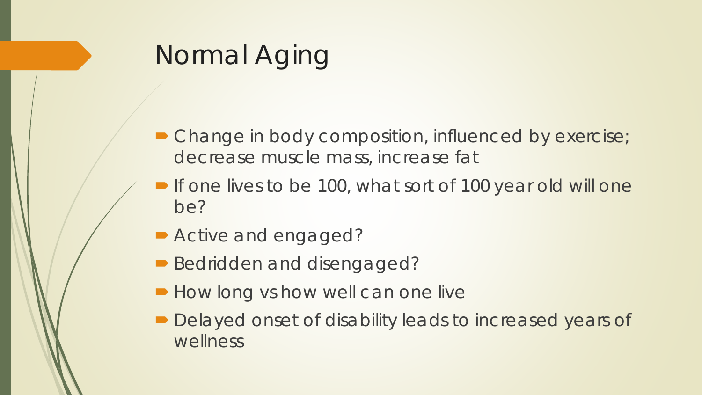- Change in body composition, influenced by exercise; decrease muscle mass, increase fat
- If one lives to be 100, what sort of 100 year old will one be?
- Active and engaged?
- Bedridden and disengaged?
- **How long vs how well can one live**
- Delayed onset of disability leads to increased years of wellness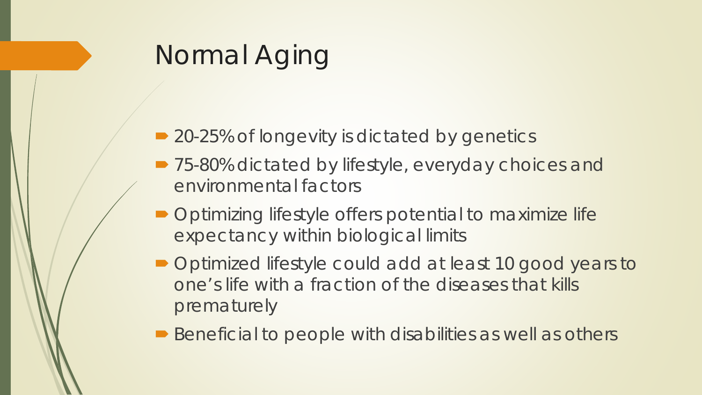- 20-25% of longevity is dictated by genetics
- 75-80% dictated by lifestyle, everyday choices and environmental factors
- Optimizing lifestyle offers potential to maximize life expectancy within biological limits
- Optimized lifestyle could add at least 10 good years to one's life with a fraction of the diseases that kills prematurely
- Beneficial to people with disabilities as well as others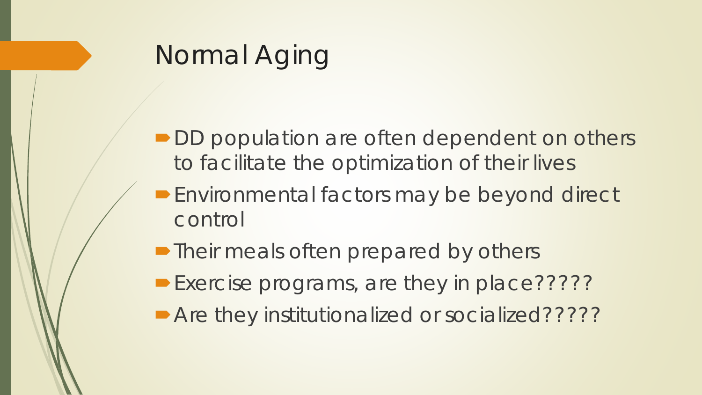- DD population are often dependent on others to facilitate the optimization of their lives
- **Environmental factors may be beyond direct** control
- Their meals often prepared by others
- Exercise programs, are they in place??????
- Are they institutionalized or socialized??????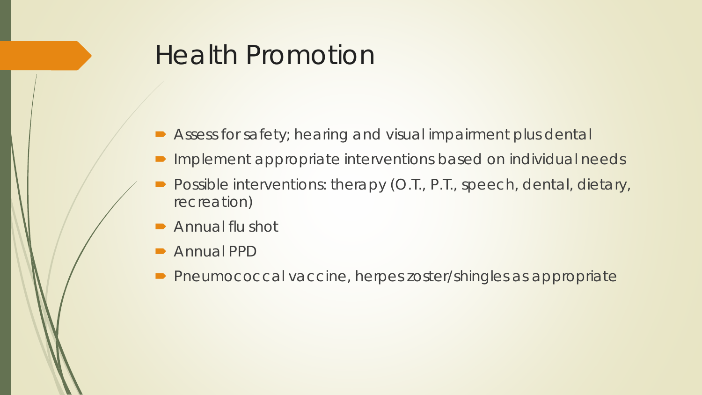## Health Promotion

- Assess for safety; hearing and visual impairment plus dental
- Implement appropriate interventions based on individual needs
- Possible interventions: therapy (O.T., P.T., speech, dental, dietary, recreation)
- Annual flu shot
- **Annual PPD**
- Pneumococcal vaccine, herpes zoster/shingles as appropriate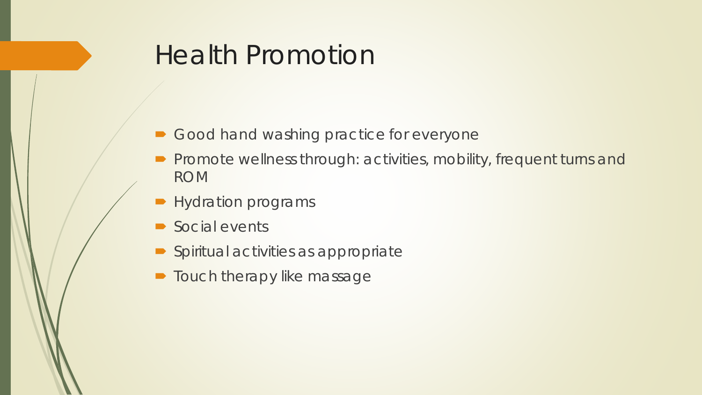## Health Promotion

- Good hand washing practice for everyone
- **Promote wellness through: activities, mobility, frequent turns and** ROM
- **Hydration programs**
- Social events
- **Spiritual activities as appropriate**
- **Touch therapy like massage**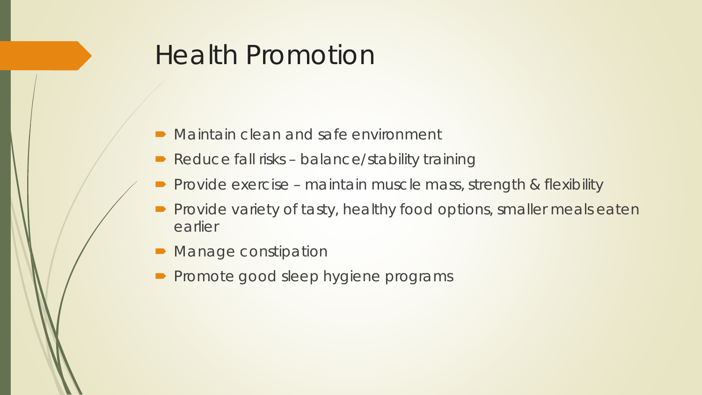## Health Promotion

- Maintain clean and safe environment
- Reduce fall risks balance/stability training
- Provide exercise maintain muscle mass, strength & flexibility
- **Provide variety of tasty, healthy food options, smaller meals eaten** earlier
- Manage constipation
- **Promote good sleep hygiene programs**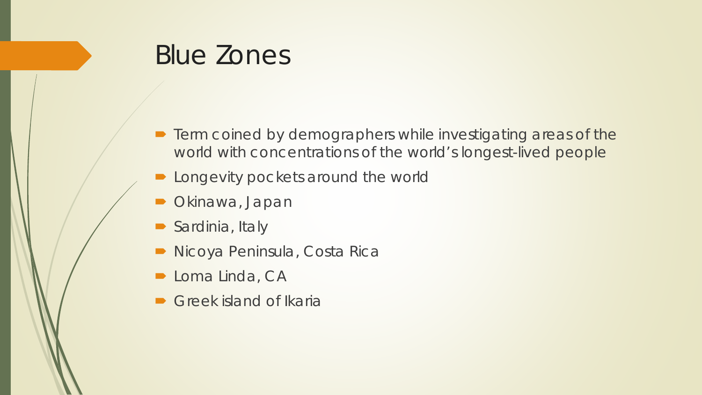## Blue Zones

- **•** Term coined by demographers while investigating areas of the world with concentrations of the world's longest-lived people
- **Demonstrum** Longevity pockets around the world
- Okinawa, Japan
- Sardinia, Italy
- **Nicoya Peninsula, Costa Rica**
- **Loma Linda, CA**
- Greek island of Ikaria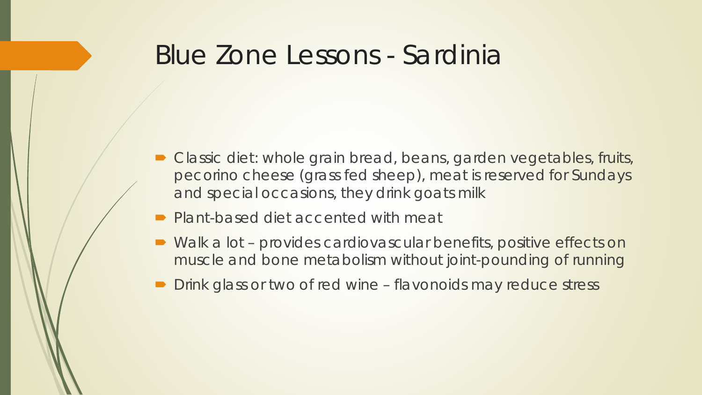#### Blue Zone Lessons - Sardinia

- Classic diet: whole grain bread, beans, garden vegetables, fruits, pecorino cheese (grass fed sheep), meat is reserved for Sundays and special occasions, they drink goats milk
- Plant-based diet accented with meat
- Walk a lot provides cardiovascular benefits, positive effects on muscle and bone metabolism without joint-pounding of running
- Drink glass or two of red wine flavonoids may reduce stress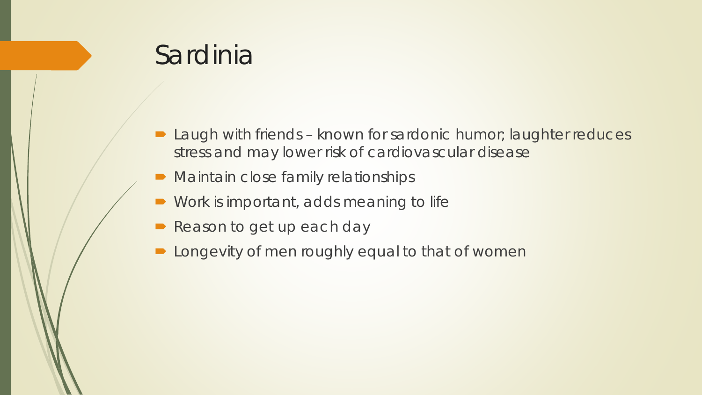## Sardinia

- Laugh with friends known for sardonic humor; laughter reduces stress and may lower risk of cardiovascular disease
- Maintain close family relationships
- Work is important, adds meaning to life
- Reason to get up each day
- **Demon Longevity of men roughly equal to that of women**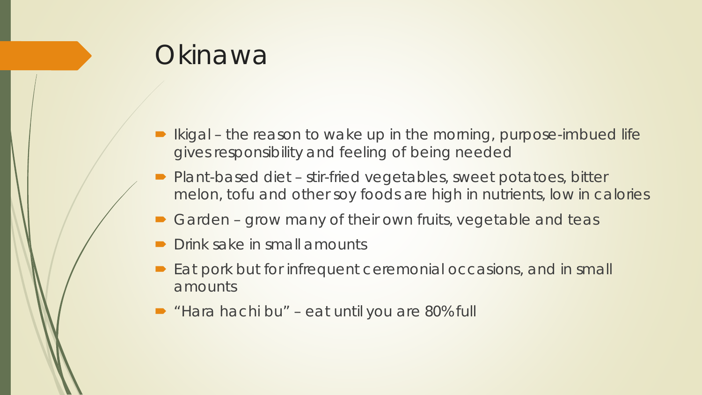## **Okinawa**

- Ikigal the reason to wake up in the morning, purpose-imbued life gives responsibility and feeling of being needed
- Plant-based diet stir-fried vegetables, sweet potatoes, bitter melon, tofu and other soy foods are high in nutrients, low in calories
- Garden grow many of their own fruits, vegetable and teas
- Drink sake in small amounts
- Eat pork but for infrequent ceremonial occasions, and in small amounts
- "Hara hachi bu" eat until you are 80% full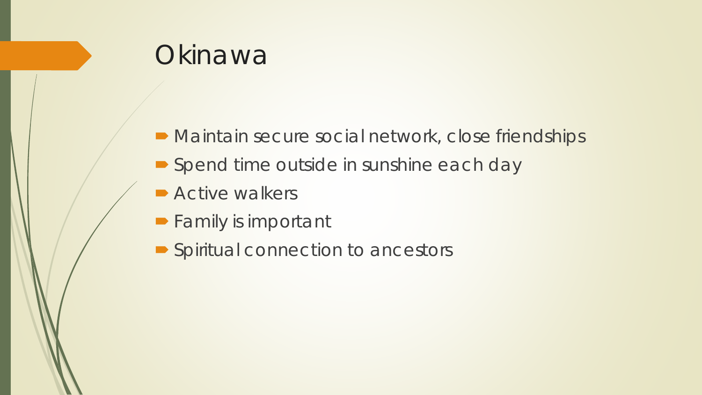## **Okinawa**

- Maintain secure social network, close friendships
- Spend time outside in sunshine each day
- **Active walkers**
- **Family is important**
- Spiritual connection to ancestors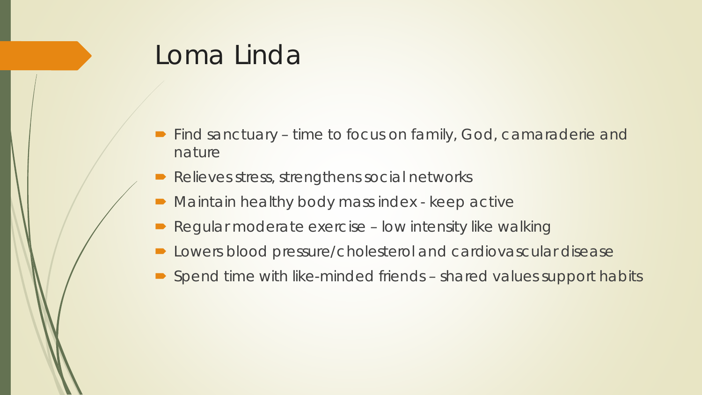## Loma Linda

- Find sanctuary time to focus on family, God, camaraderie and nature
- Relieves stress, strengthens social networks
- **Maintain healthy body mass index keep active**
- Regular moderate exercise low intensity like walking
- Lowers blood pressure/cholesterol and cardiovascular disease
- Spend time with like-minded friends shared values support habits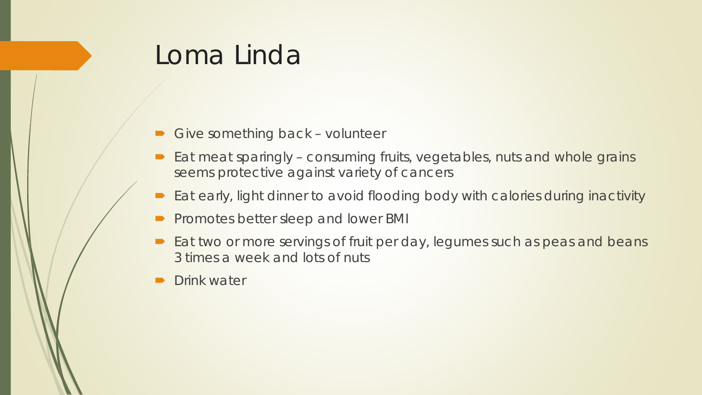### Loma Linda

- Give something back volunteer
- $\blacktriangleright$  Eat meat sparingly consuming fruits, vegetables, nuts and whole grains seems protective against variety of cancers
- Eat early, light dinner to avoid flooding body with calories during inactivity
- **Promotes better sleep and lower BMI**
- Eat two or more servings of fruit per day, legumes such as peas and beans 3 times a week and lots of nuts
- Drink water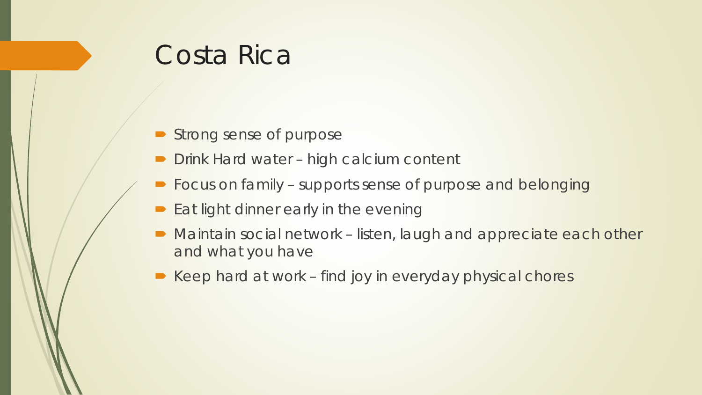## Costa Rica

- Strong sense of purpose
- Drink Hard water high calcium content
- **Focus on family supports sense of purpose and belonging**
- **Eat light dinner early in the evening**
- Maintain social network listen, laugh and appreciate each other and what you have
- Keep hard at work find joy in everyday physical chores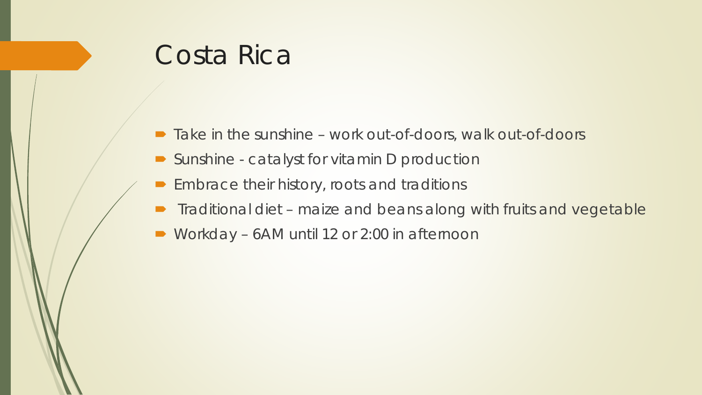## Costa Rica

- Take in the sunshine work out-of-doors, walk out-of-doors
- Sunshine catalyst for vitamin D production
- Embrace their history, roots and traditions
- **Traditional diet maize and beans along with fruits and vegetable**
- Workday 6AM until 12 or 2:00 in afternoon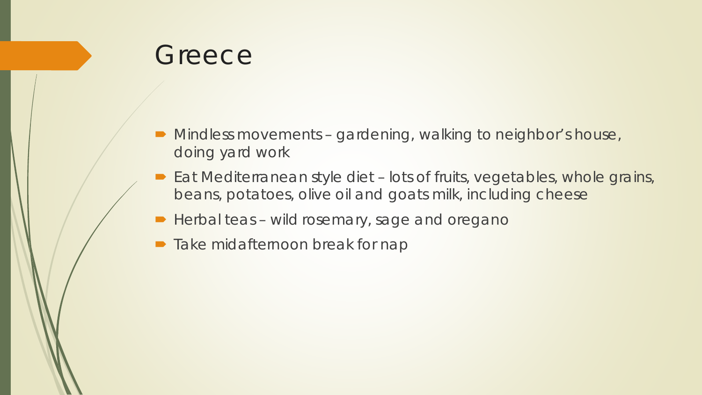#### **Greece**

- Mindless movements gardening, walking to neighbor's house, doing yard work
- Eat Mediterranean style diet lots of fruits, vegetables, whole grains, beans, potatoes, olive oil and goats milk, including cheese
- Herbal teas wild rosemary, sage and oregano
- Take midafternoon break for nap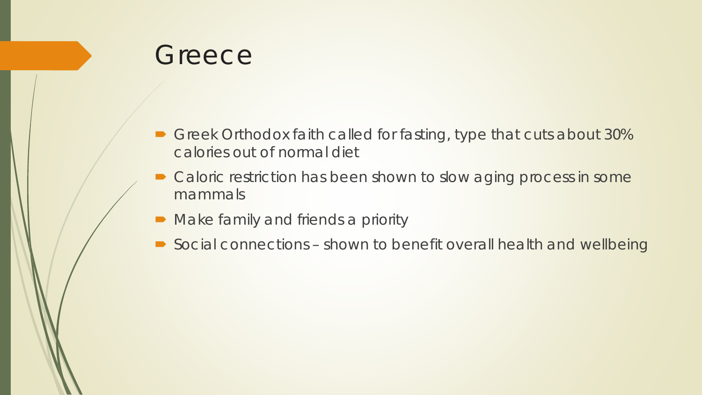#### **Greece**

- Greek Orthodox faith called for fasting, type that cuts about 30% calories out of normal diet
- Caloric restriction has been shown to slow aging process in some mammals
- Make family and friends a priority
- Social connections shown to benefit overall health and wellbeing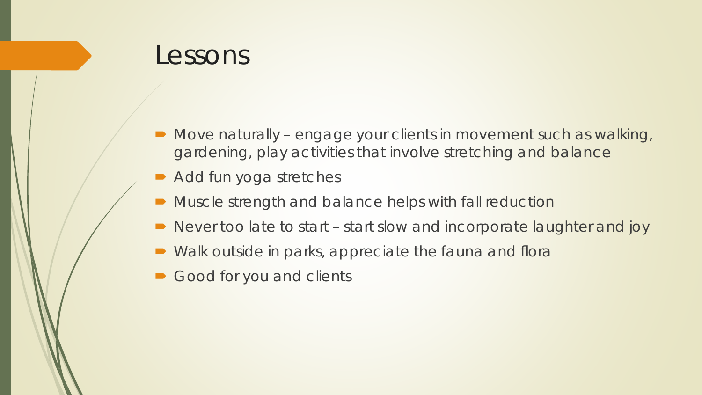- Move naturally engage your clients in movement such as walking, gardening, play activities that involve stretching and balance
- Add fun yoga stretches
- Muscle strength and balance helps with fall reduction
- Never too late to start start slow and incorporate laughter and joy
- Walk outside in parks, appreciate the fauna and flora
- Good for you and clients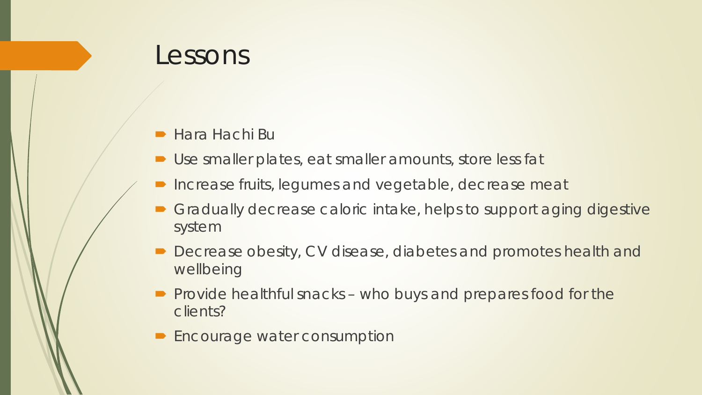- Hara Hachi Bu
- Use smaller plates, eat smaller amounts, store less fat
- Increase fruits, legumes and vegetable, decrease meat
- Gradually decrease caloric intake, helps to support aging digestive system
- Decrease obesity, CV disease, diabetes and promotes health and wellbeing
- $\blacktriangleright$  Provide healthful snacks who buys and prepares food for the clients?
- Encourage water consumption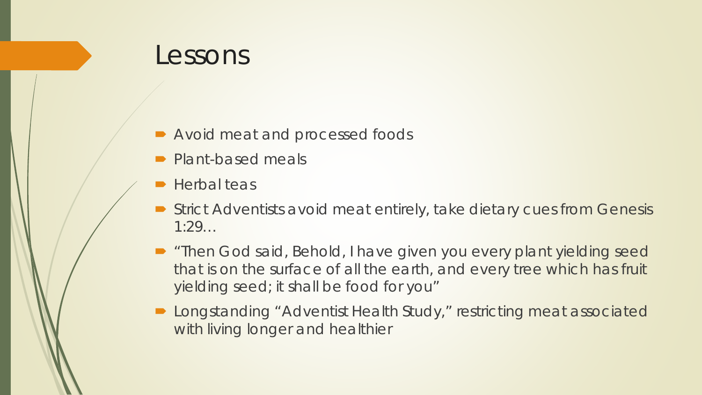- Avoid meat and processed foods
- Plant-based meals
- Herbal teas
- Strict Adventists avoid meat entirely, take dietary cues from Genesis 1:29…
- **"Then God said, Behold, I have given you every plant yielding seed** that is on the surface of all the earth, and every tree which has fruit yielding seed; it shall be food for you"
- Longstanding "Adventist Health Study," restricting meat associated with living longer and healthier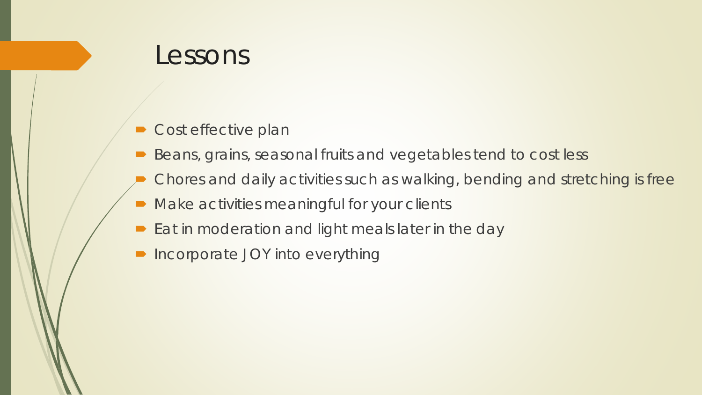- Cost effective plan
- Beans, grains, seasonal fruits and vegetables tend to cost less
- Chores and daily activities such as walking, bending and stretching is free
- Make activities meaningful for your clients
- **Eat in moderation and light meals later in the day**
- **Incorporate JOY into everything**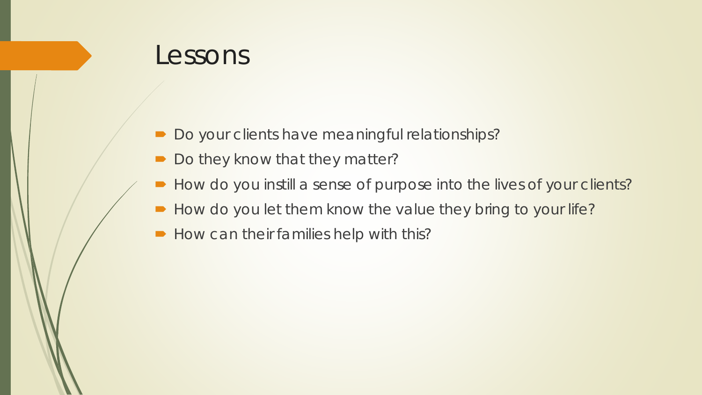- Do your clients have meaningful relationships?
- Do they know that they matter?
- How do you instill a sense of purpose into the lives of your clients?
- How do you let them know the value they bring to your life?
- How can their families help with this?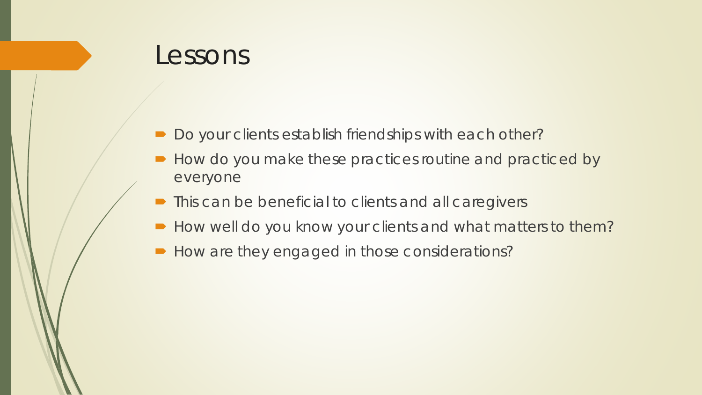- Do your clients establish friendships with each other?
- How do you make these practices routine and practiced by everyone
- **This can be beneficial to clients and all caregivers**
- How well do you know your clients and what matters to them?
- How are they engaged in those considerations?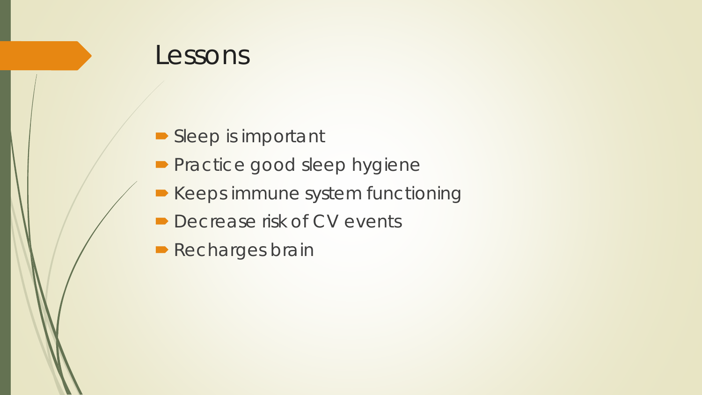- Sleep is important
- **Practice good sleep hygiene**
- **Keeps immune system functioning**
- **Decrease risk of CV events**
- **Recharges brain**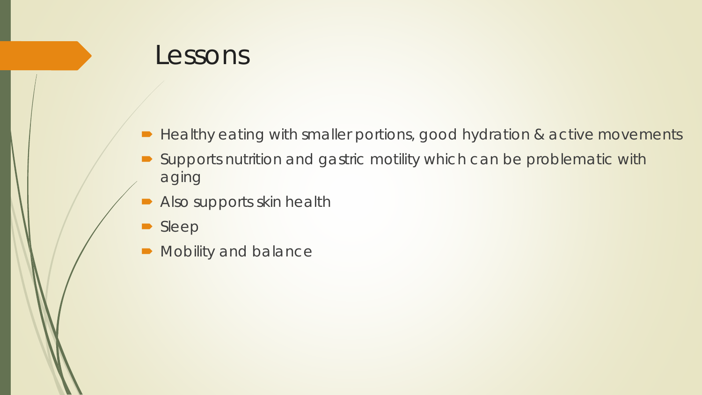- Healthy eating with smaller portions, good hydration & active movements
- Supports nutrition and gastric motility which can be problematic with aging
- Also supports skin health
- Sleep
- $\blacksquare$  Mobility and balance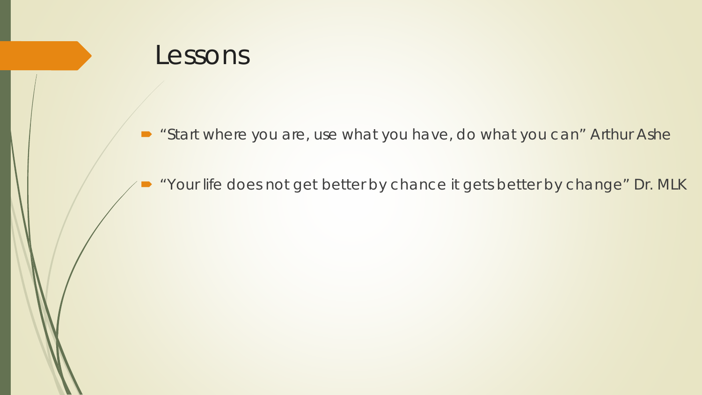■ "Start where you are, use what you have, do what you can" Arthur Ashe

"Your life does not get better by chance it gets better by change" Dr. MLK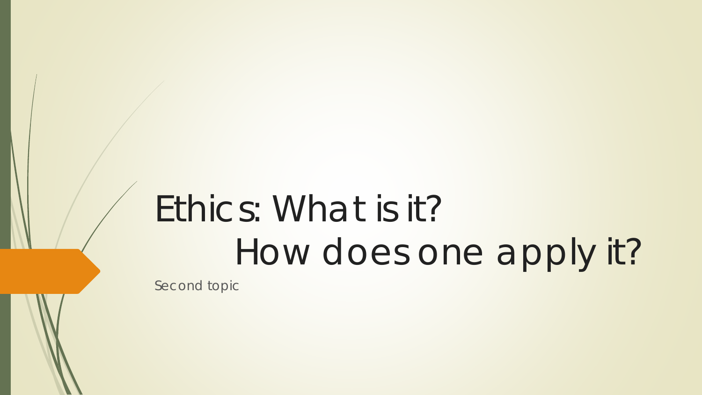# Ethics: What is it? How does one apply it?

Second topic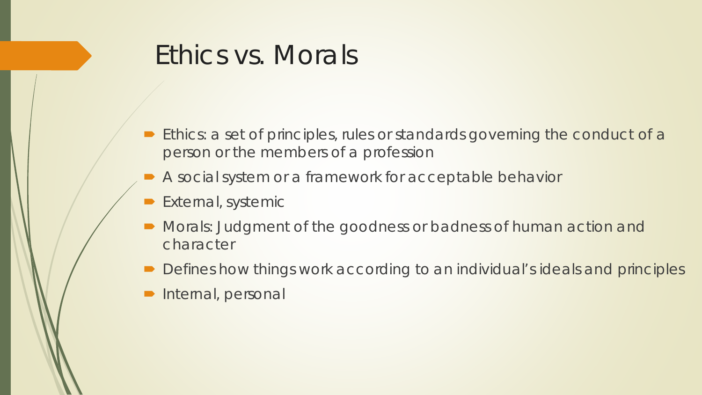## Ethics vs. Morals

- **Ethics:** a set of principles, rules or standards governing the conduct of a person or the members of a profession
- A social system or a framework for acceptable behavior
- External, systemic
- Morals: Judgment of the goodness or badness of human action and character
- Defines how things work according to an individual's ideals and principles
- Internal, personal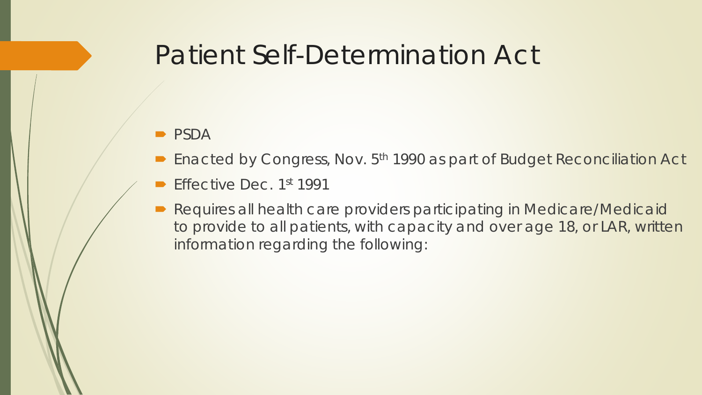## Patient Self-Determination Act

#### • PSDA

- **Enacted by Congress, Nov. 5<sup>th</sup> 1990 as part of Budget Reconciliation Act**
- Effective Dec. 1st 1991
- Requires all health care providers participating in Medicare/Medicaid to provide to all patients, with capacity and over age 18, or LAR, written information regarding the following: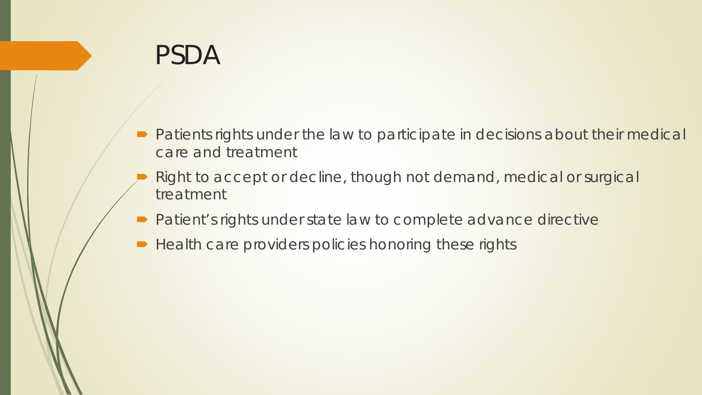## PSDA

- **Patients rights under the law to participate in decisions about their medical** care and treatment
- Right to accept or decline, though not demand, medical or surgical treatment
- **Patient's rights under state law to complete advance directive**
- Health care providers policies honoring these rights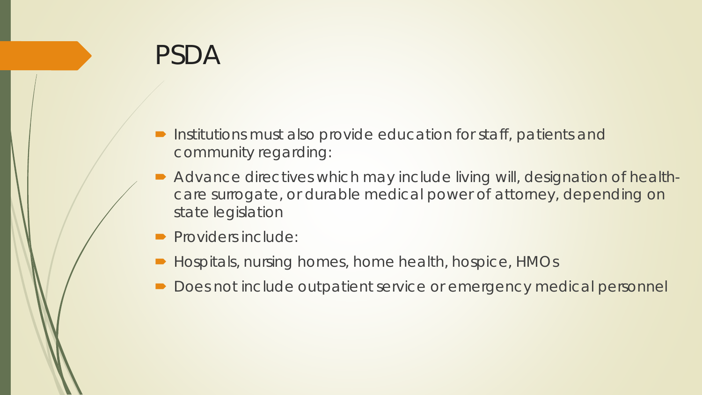## PSDA

- **Institutions must also provide education for staff, patients and** community regarding:
- Advance directives which may include living will, designation of healthcare surrogate, or durable medical power of attorney, depending on state legislation
- Providers include:
- Hospitals, nursing homes, home health, hospice, HMOs
- Does not include outpatient service or emergency medical personnel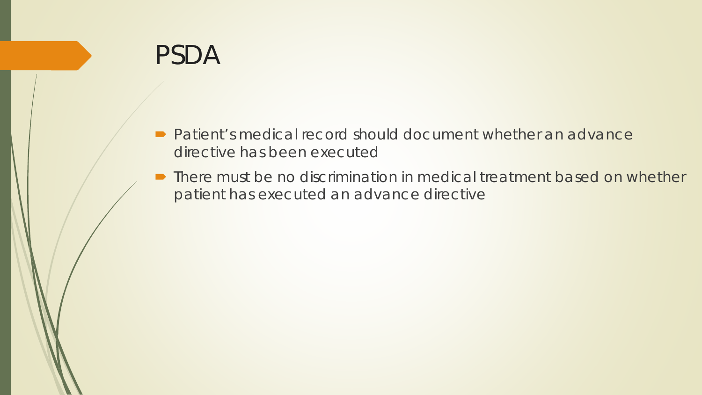## PSDA

- Patient's medical record should document whether an advance directive has been executed
- **There must be no discrimination in medical treatment based on whether** patient has executed an advance directive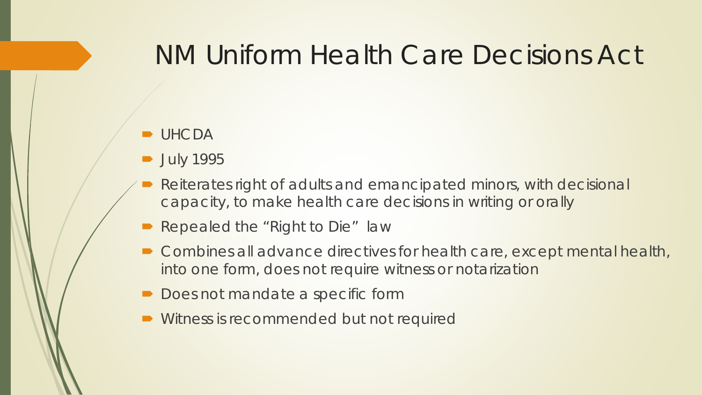## NM Uniform Health Care Decisions Act

#### **D**UHCDA

- **July 1995**
- Reiterates right of adults and emancipated minors, with decisional capacity, to make health care decisions in writing or orally
- Repealed the "Right to Die" law
- Combines all advance directives for health care, except mental health, into one form, does not require witness or notarization
- Does not mandate a specific form
- **Witness is recommended but not required**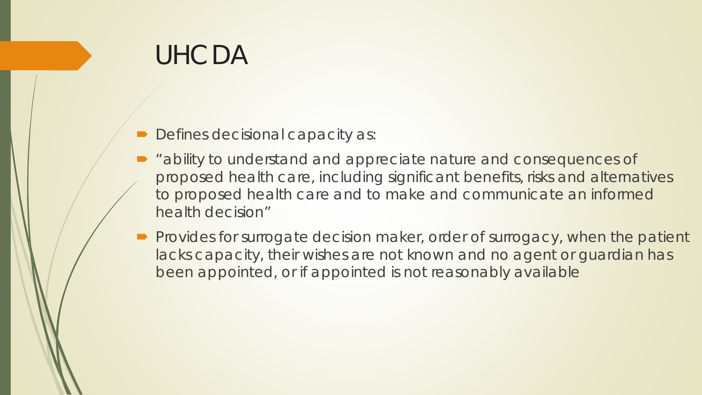- Defines decisional capacity as:
- "ability to understand and appreciate nature and consequences of proposed health care, including significant benefits, risks and alternatives to proposed health care and to make and communicate an informed health decision"
- **Provides for surrogate decision maker, order of surrogacy, when the patient** lacks capacity, their wishes are not known and no agent or guardian has been appointed, or if appointed is not reasonably available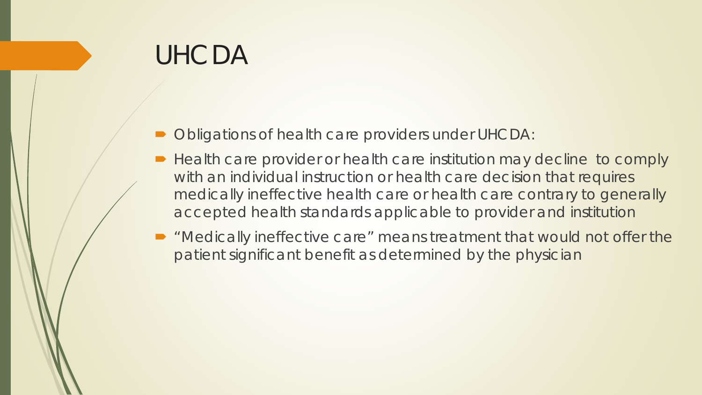- Obligations of health care providers under UHCDA:
- Health care provider or health care institution may decline to comply with an individual instruction or health care decision that requires medically ineffective health care or health care contrary to generally accepted health standards applicable to provider and institution
- "Medically ineffective care" means treatment that would not offer the patient significant benefit as determined by the physician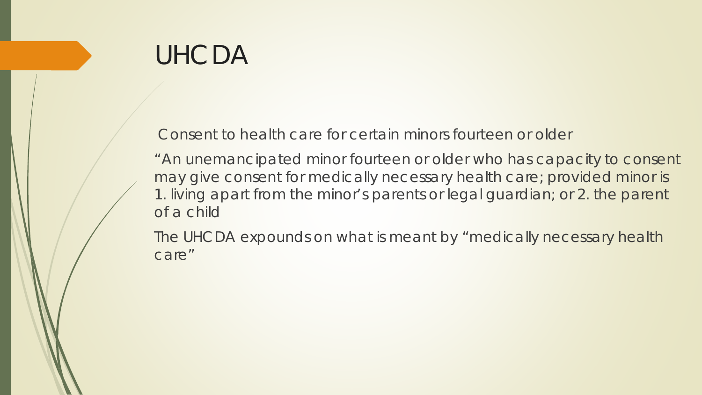Consent to health care for certain minors fourteen or older

"An unemancipated minor fourteen or older who has capacity to consent may give consent for medically necessary health care; provided minor is 1. living apart from the minor's parents or legal guardian; or 2. the parent of a child

The UHCDA expounds on what is meant by "medically necessary health care"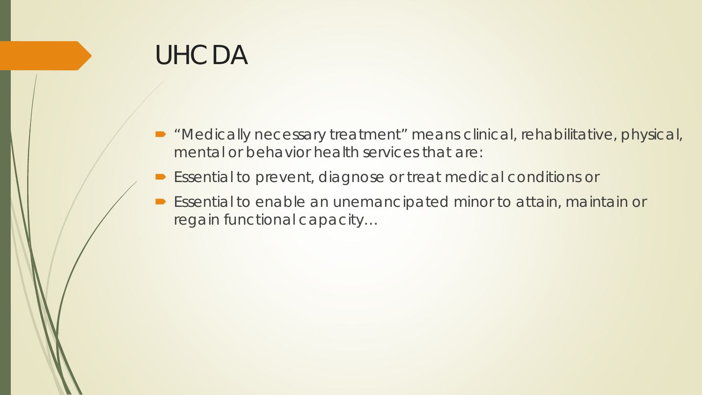- "Medically necessary treatment" means clinical, rehabilitative, physical, mental or behavior health services that are:
- Essential to prevent, diagnose or treat medical conditions or
- Essential to enable an unemancipated minor to attain, maintain or regain functional capacity…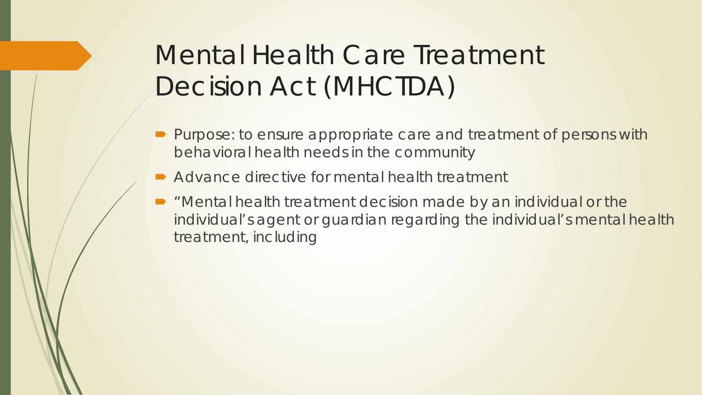# Mental Health Care Treatment Decision Act (MHCTDA)

- **Purpose: to ensure appropriate care and treatment of persons with** behavioral health needs in the community
- Advance directive for mental health treatment
- "Mental health treatment decision made by an individual or the individual's agent or guardian regarding the individual's mental health treatment, including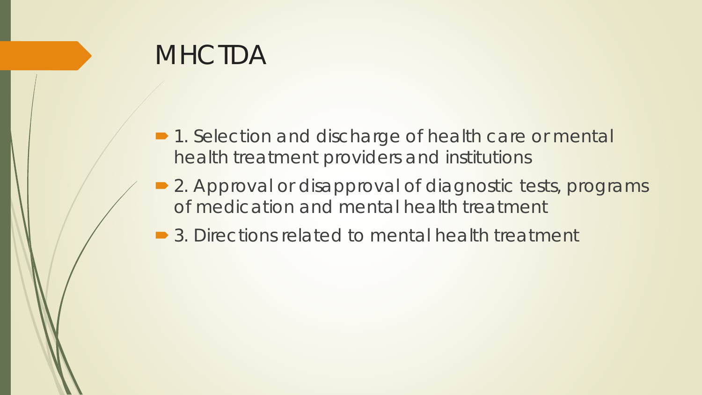## **MHCTDA**

- 1. Selection and discharge of health care or mental health treatment providers and institutions
- 2. Approval or disapproval of diagnostic tests, programs of medication and mental health treatment
- **3. Directions related to mental health treatment**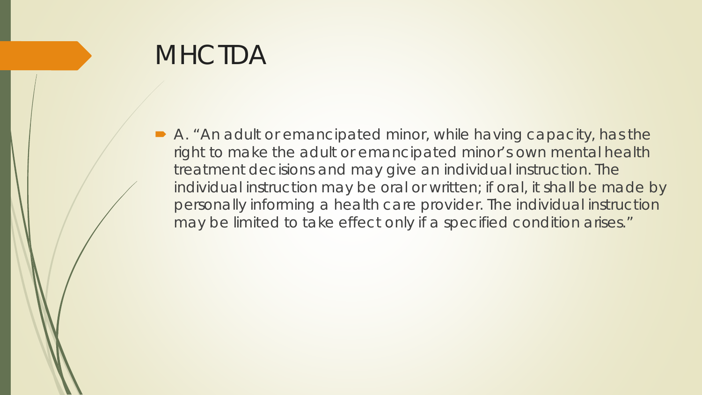## **MHCTDA**

 A. "An adult or emancipated minor, while having capacity, has the right to make the adult or emancipated minor's own mental health treatment decisions and may give an individual instruction. The individual instruction may be oral or written; if oral, it shall be made by personally informing a health care provider. The individual instruction may be limited to take effect only if a specified condition arises."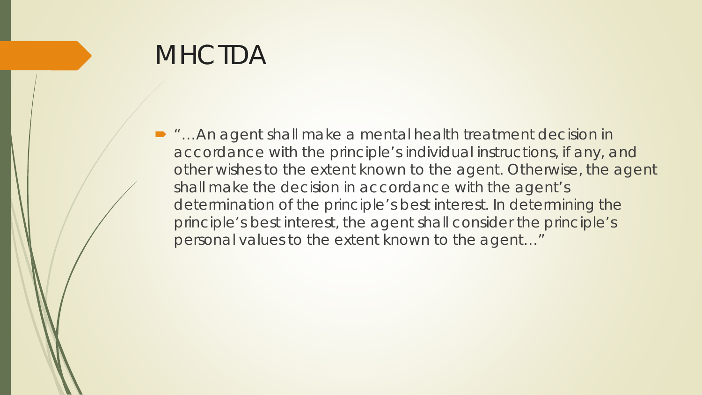## **MHCTDA**

■ "…An agent shall make a mental health treatment decision in accordance with the principle's individual instructions, if any, and other wishes to the extent known to the agent. Otherwise, the agent shall make the decision in accordance with the agent's determination of the principle's best interest. In determining the principle's best interest, the agent shall consider the principle's personal values to the extent known to the agent…"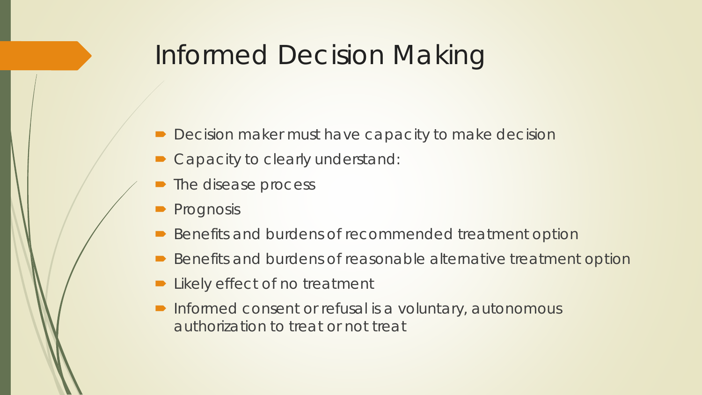## Informed Decision Making

- Decision maker must have capacity to make decision
- Capacity to clearly understand:
- The disease process
- Prognosis
- Benefits and burdens of recommended treatment option
- Benefits and burdens of reasonable alternative treatment option
- Likely effect of no treatment
- **Informed consent or refusal is a voluntary, autonomous** authorization to treat or not treat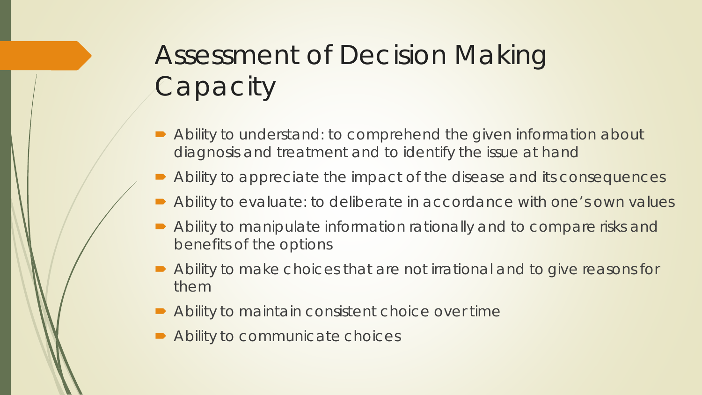# Assessment of Decision Making **Capacity**

- Ability to understand: to comprehend the given information about diagnosis and treatment and to identify the issue at hand
- Ability to appreciate the impact of the disease and its consequences
- Ability to evaluate: to deliberate in accordance with one's own values
- Ability to manipulate information rationally and to compare risks and benefits of the options
- Ability to make choices that are not irrational and to give reasons for them
- Ability to maintain consistent choice over time
- Ability to communicate choices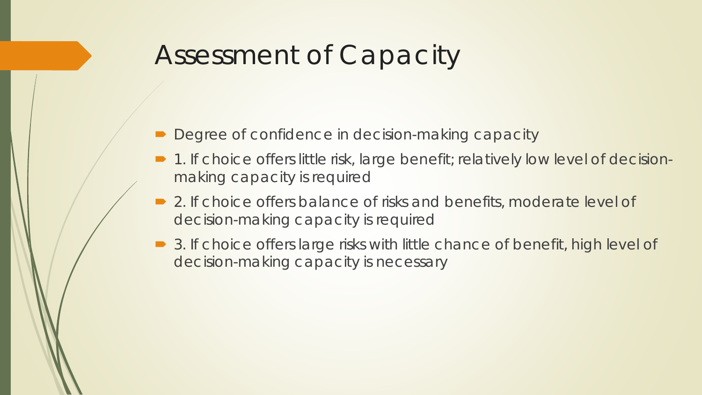## Assessment of Capacity

- Degree of confidence in decision-making capacity
- 1. If choice offers little risk, large benefit; relatively low level of decisionmaking capacity is required
- 2. If choice offers balance of risks and benefits, moderate level of decision-making capacity is required
- 3. If choice offers large risks with little chance of benefit, high level of decision-making capacity is necessary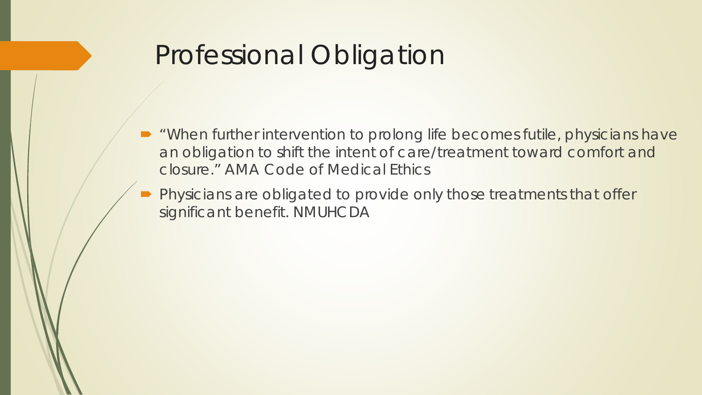## Professional Obligation

- "When further intervention to prolong life becomes futile, physicians have an obligation to shift the intent of care/treatment toward comfort and closure." AMA Code of Medical Ethics
- Physicians are obligated to provide only those treatments that offer significant benefit. NMUHCDA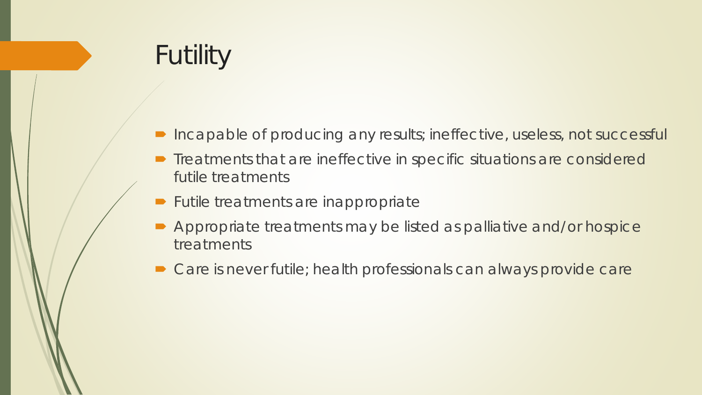# Futility

- Incapable of producing any results; ineffective, useless, not successful
- **•** Treatments that are ineffective in specific situations are considered futile treatments
- **Futile treatments are inappropriate**
- Appropriate treatments may be listed as palliative and/or hospice treatments
- Care is never futile; health professionals can always provide care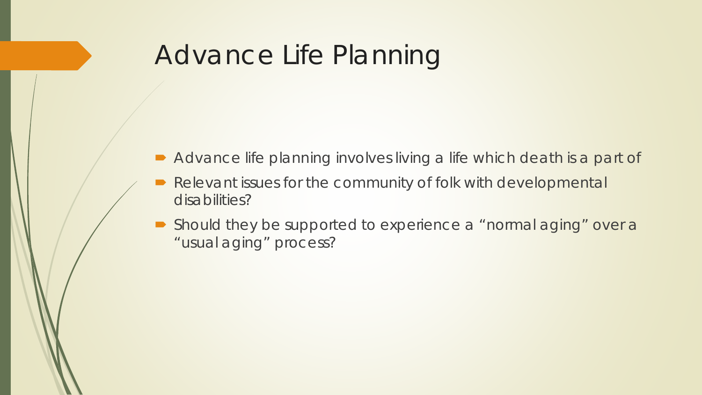## Advance Life Planning

- Advance life planning involves living a life which death is a part of
- Relevant issues for the community of folk with developmental disabilities?
- Should they be supported to experience a "normal aging" over a "usual aging" process?